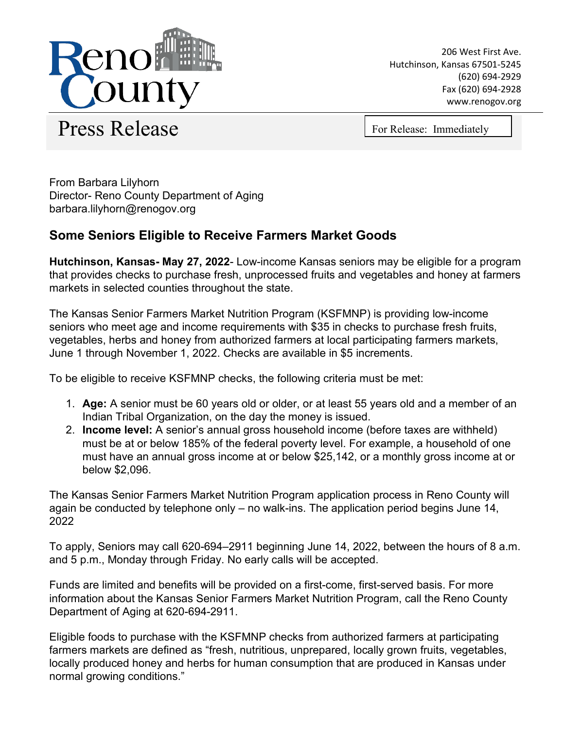

206 West First Ave. Hutchinson, Kansas 67501-5245 (620) 694-2929 Fax (620) 694-2928 www.renogov.org

Press Release For Release: Immediately

From Barbara Lilyhorn Director- Reno County Department of Aging barbara.lilyhorn@renogov.org

## **Some Seniors Eligible to Receive Farmers Market Goods**

**Hutchinson, Kansas- May 27, 2022**- Low-income Kansas seniors may be eligible for a program that provides checks to purchase fresh, unprocessed fruits and vegetables and honey at farmers markets in selected counties throughout the state.

The Kansas Senior Farmers Market Nutrition Program (KSFMNP) is providing low-income seniors who meet age and income requirements with \$35 in checks to purchase fresh fruits, vegetables, herbs and honey from authorized farmers at local participating farmers markets, June 1 through November 1, 2022. Checks are available in \$5 increments.

To be eligible to receive KSFMNP checks, the following criteria must be met:

- 1. **Age:** A senior must be 60 years old or older, or at least 55 years old and a member of an Indian Tribal Organization, on the day the money is issued.
- 2. **Income level:** A senior's annual gross household income (before taxes are withheld) must be at or below 185% of the federal poverty level. For example, a household of one must have an annual gross income at or below \$25,142, or a monthly gross income at or below \$2,096.

The Kansas Senior Farmers Market Nutrition Program application process in Reno County will again be conducted by telephone only – no walk-ins. The application period begins June 14, 2022

To apply, Seniors may call 620-694–2911 beginning June 14, 2022, between the hours of 8 a.m. and 5 p.m., Monday through Friday. No early calls will be accepted.

Funds are limited and benefits will be provided on a first-come, first-served basis. For more information about the Kansas Senior Farmers Market Nutrition Program, call the Reno County Department of Aging at 620-694-2911.

Eligible foods to purchase with the KSFMNP checks from authorized farmers at participating farmers markets are defined as "fresh, nutritious, unprepared, locally grown fruits, vegetables, locally produced honey and herbs for human consumption that are produced in Kansas under normal growing conditions."